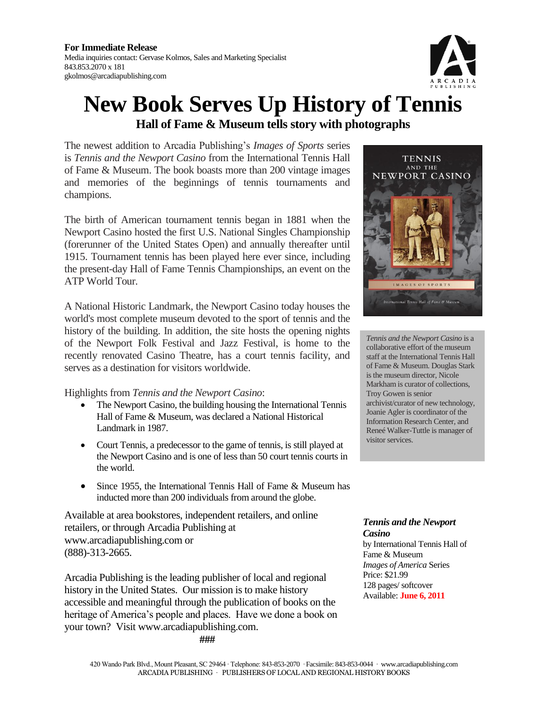

## **New Book Serves Up History of Tennis Hall of Fame & Museum tells story with photographs**

The newest addition to Arcadia Publishing's *Images of Sports* series is *Tennis and the Newport Casino* from the International Tennis Hall of Fame & Museum. The book boasts more than 200 vintage images and memories of the beginnings of tennis tournaments and champions.

The birth of American tournament tennis began in 1881 when the Newport Casino hosted the first U.S. National Singles Championship (forerunner of the United States Open) and annually thereafter until 1915. Tournament tennis has been played here ever since, including the present-day Hall of Fame Tennis Championships, an event on the ATP World Tour.

A National Historic Landmark, the Newport Casino today houses the world's most complete museum devoted to the sport of tennis and the history of the building. In addition, the site hosts the opening nights of the Newport Folk Festival and Jazz Festival, is home to the recently renovated Casino Theatre, has a court tennis facility, and serves as a destination for visitors worldwide.

Highlights from *Tennis and the Newport Casino*:

- The Newport Casino, the building housing the International Tennis Hall of Fame & Museum, was declared a National Historical Landmark in 1987.
- Court Tennis, a predecessor to the game of tennis, is still played at the Newport Casino and is one of less than 50 court tennis courts in the world.
- Since 1955, the International Tennis Hall of Fame & Museum has inducted more than 200 individuals from around the globe.

Available at area bookstores, independent retailers, and online retailers, or through Arcadia Publishing at [www.arcadiapublishing.com](http://www.arcadiapublishing.com/) or (888)-313-2665.

Arcadia Publishing is the leading publisher of local and regional history in the United States. Our mission is to make history accessible and meaningful through the publication of books on the heritage of America's people and places. Have we done a book on your town? Visit www.arcadiapublishing.com.

**###**



*Tennis and the Newport Casino* is a collaborative effort of the museum staff at the International Tennis Hall of Fame & Museum. Douglas Stark is the museum director, Nicole Markham is curator of collections, Troy Gowen is senior archivist/curator of new technology, Joanie Agler is coordinator of the Information Research Center, and Reneé Walker-Tuttle is manager of visitor services.

*Tennis and the Newport Casino* by International Tennis Hall of Fame & Museum *Images of America* Series Price: \$21.99 128 pages/ softcover Available: **June 6, 2011**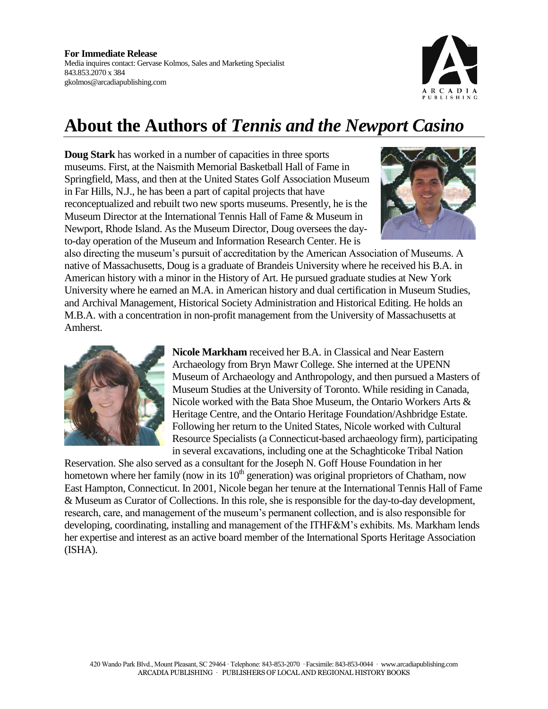

## **About the Authors of** *Tennis and the Newport Casino*

**Doug Stark** has worked in a number of capacities in three sports museums. First, at the Naismith Memorial Basketball Hall of Fame in Springfield, Mass, and then at the United States Golf Association Museum in Far Hills, N.J., he has been a part of capital projects that have reconceptualized and rebuilt two new sports museums. Presently, he is the Museum Director at the International Tennis Hall of Fame & Museum in Newport, Rhode Island. As the Museum Director, Doug oversees the dayto-day operation of the Museum and Information Research Center. He is



also directing the museum's pursuit of accreditation by the American Association of Museums. A native of Massachusetts, Doug is a graduate of Brandeis University where he received his B.A. in American history with a minor in the History of Art. He pursued graduate studies at New York University where he earned an M.A. in American history and dual certification in Museum Studies, and Archival Management, Historical Society Administration and Historical Editing. He holds an M.B.A. with a concentration in non-profit management from the University of Massachusetts at Amherst.



**Nicole Markham** received her B.A. in Classical and Near Eastern Archaeology from Bryn Mawr College. She interned at the UPENN Museum of Archaeology and Anthropology, and then pursued a Masters of Museum Studies at the University of Toronto. While residing in Canada, Nicole worked with the Bata Shoe Museum, the Ontario Workers Arts & Heritage Centre, and the Ontario Heritage Foundation/Ashbridge Estate. Following her return to the United States, Nicole worked with Cultural Resource Specialists (a Connecticut-based archaeology firm), participating in several excavations, including one at the Schaghticoke Tribal Nation

Reservation. She also served as a consultant for the Joseph N. Goff House Foundation in her hometown where her family (now in its  $10<sup>th</sup>$  generation) was original proprietors of Chatham, now East Hampton, Connecticut. In 2001, Nicole began her tenure at the International Tennis Hall of Fame & Museum as Curator of Collections. In this role, she is responsible for the day-to-day development, research, care, and management of the museum's permanent collection, and is also responsible for developing, coordinating, installing and management of the ITHF&M's exhibits. Ms. Markham lends her expertise and interest as an active board member of the International Sports Heritage Association (ISHA).